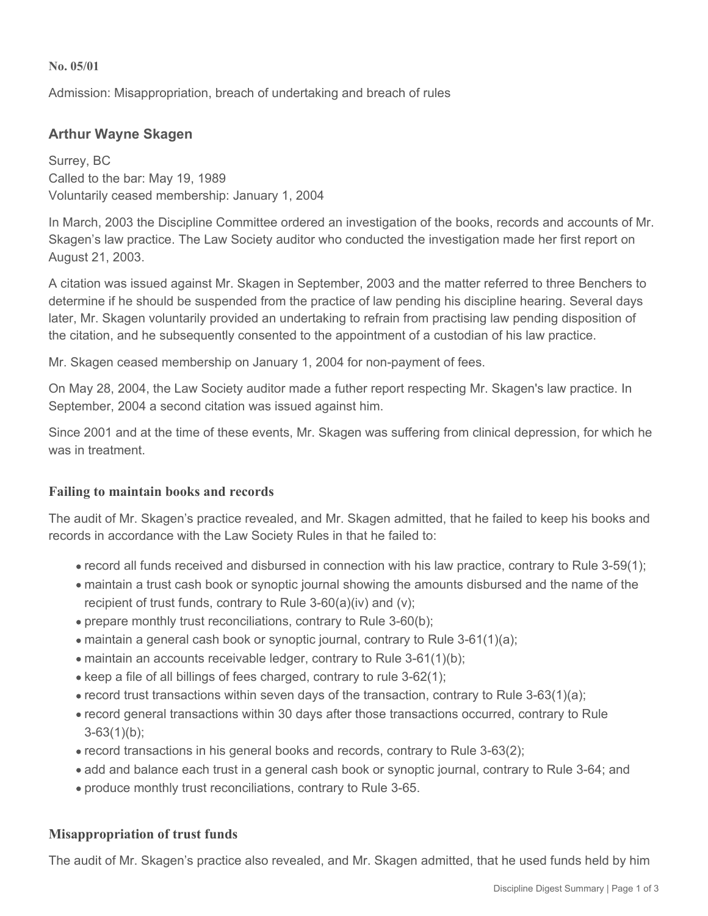#### **No. 05/01**

Admission: Misappropriation, breach of undertaking and breach of rules

# **Arthur Wayne Skagen**

Surrey, BC Called to the bar: May 19, 1989 Voluntarily ceased membership: January 1, 2004

In March, 2003 the Discipline Committee ordered an investigation of the books, records and accounts of Mr. Skagen's law practice. The Law Society auditor who conducted the investigation made her first report on August 21, 2003.

A citation was issued against Mr. Skagen in September, 2003 and the matter referred to three Benchers to determine if he should be suspended from the practice of law pending his discipline hearing. Several days later, Mr. Skagen voluntarily provided an undertaking to refrain from practising law pending disposition of the citation, and he subsequently consented to the appointment of a custodian of his law practice.

Mr. Skagen ceased membership on January 1, 2004 for non-payment of fees.

On May 28, 2004, the Law Society auditor made a futher report respecting Mr. Skagen's law practice. In September, 2004 a second citation was issued against him.

Since 2001 and at the time of these events, Mr. Skagen was suffering from clinical depression, for which he was in treatment.

#### **Failing to maintain books and records**

The audit of Mr. Skagen's practice revealed, and Mr. Skagen admitted, that he failed to keep his books and records in accordance with the Law Society Rules in that he failed to:

- record all funds received and disbursed in connection with his law practice, contrary to Rule 3-59(1);
- maintain a trust cash book or synoptic journal showing the amounts disbursed and the name of the recipient of trust funds, contrary to Rule 3-60(a)(iv) and (v);
- prepare monthly trust reconciliations, contrary to Rule 3-60(b);
- $\bullet$  maintain a general cash book or synoptic journal, contrary to Rule 3-61(1)(a);
- maintain an accounts receivable ledger, contrary to Rule 3-61(1)(b);
- keep a file of all billings of fees charged, contrary to rule 3-62(1);
- $\bullet$  record trust transactions within seven days of the transaction, contrary to Rule 3-63(1)(a);
- record general transactions within 30 days after those transactions occurred, contrary to Rule 3-63(1)(b);
- record transactions in his general books and records, contrary to Rule 3-63(2);
- add and balance each trust in a general cash book or synoptic journal, contrary to Rule 3-64; and
- produce monthly trust reconciliations, contrary to Rule 3-65.

## **Misappropriation of trust funds**

The audit of Mr. Skagen's practice also revealed, and Mr. Skagen admitted, that he used funds held by him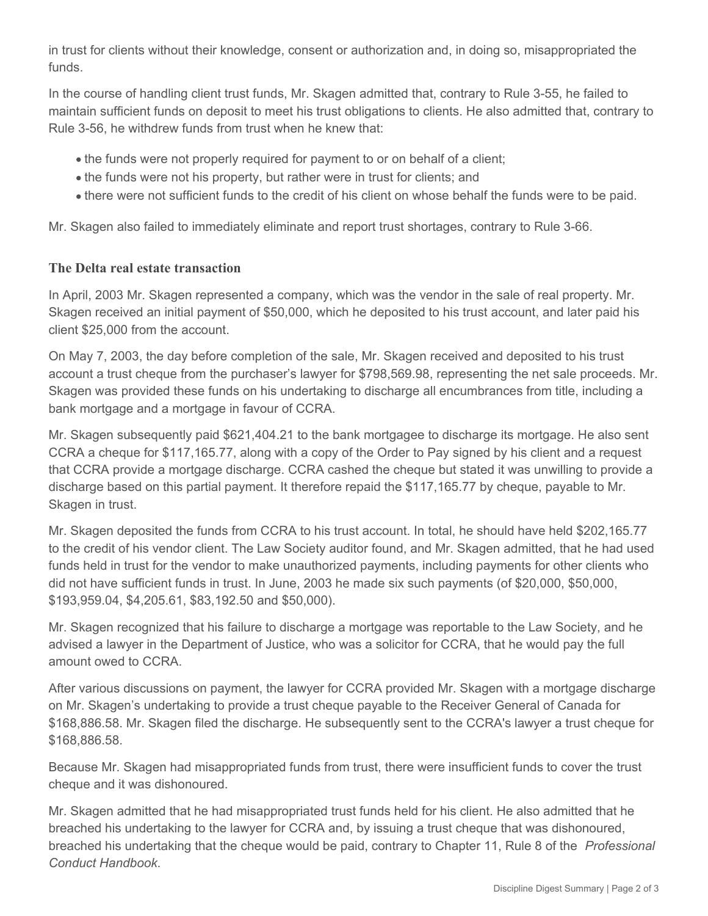in trust for clients without their knowledge, consent or authorization and, in doing so, misappropriated the funds.

In the course of handling client trust funds, Mr. Skagen admitted that, contrary to Rule 3-55, he failed to maintain sufficient funds on deposit to meet his trust obligations to clients. He also admitted that, contrary to Rule 3-56, he withdrew funds from trust when he knew that:

- the funds were not properly required for payment to or on behalf of a client;
- the funds were not his property, but rather were in trust for clients; and
- there were not sufficient funds to the credit of his client on whose behalf the funds were to be paid.

Mr. Skagen also failed to immediately eliminate and report trust shortages, contrary to Rule 3-66.

## **The Delta real estate transaction**

In April, 2003 Mr. Skagen represented a company, which was the vendor in the sale of real property. Mr. Skagen received an initial payment of \$50,000, which he deposited to his trust account, and later paid his client \$25,000 from the account.

On May 7, 2003, the day before completion of the sale, Mr. Skagen received and deposited to his trust account a trust cheque from the purchaser's lawyer for \$798,569.98, representing the net sale proceeds. Mr. Skagen was provided these funds on his undertaking to discharge all encumbrances from title, including a bank mortgage and a mortgage in favour of CCRA.

Mr. Skagen subsequently paid \$621,404.21 to the bank mortgagee to discharge its mortgage. He also sent CCRA a cheque for \$117,165.77, along with a copy of the Order to Pay signed by his client and a request that CCRA provide a mortgage discharge. CCRA cashed the cheque but stated it was unwilling to provide a discharge based on this partial payment. It therefore repaid the \$117,165.77 by cheque, payable to Mr. Skagen in trust.

Mr. Skagen deposited the funds from CCRA to his trust account. In total, he should have held \$202,165.77 to the credit of his vendor client. The Law Society auditor found, and Mr. Skagen admitted, that he had used funds held in trust for the vendor to make unauthorized payments, including payments for other clients who did not have sufficient funds in trust. In June, 2003 he made six such payments (of \$20,000, \$50,000, \$193,959.04, \$4,205.61, \$83,192.50 and \$50,000).

Mr. Skagen recognized that his failure to discharge a mortgage was reportable to the Law Society, and he advised a lawyer in the Department of Justice, who was a solicitor for CCRA, that he would pay the full amount owed to CCRA.

After various discussions on payment, the lawyer for CCRA provided Mr. Skagen with a mortgage discharge on Mr. Skagen's undertaking to provide a trust cheque payable to the Receiver General of Canada for \$168,886.58. Mr. Skagen filed the discharge. He subsequently sent to the CCRA's lawyer a trust cheque for \$168,886.58.

Because Mr. Skagen had misappropriated funds from trust, there were insufficient funds to cover the trust cheque and it was dishonoured.

Mr. Skagen admitted that he had misappropriated trust funds held for his client. He also admitted that he breached his undertaking to the lawyer for CCRA and, by issuing a trust cheque that was dishonoured, breached his undertaking that the cheque would be paid, contrary to Chapter 11, Rule 8 of the *Professional Conduct Handbook*.